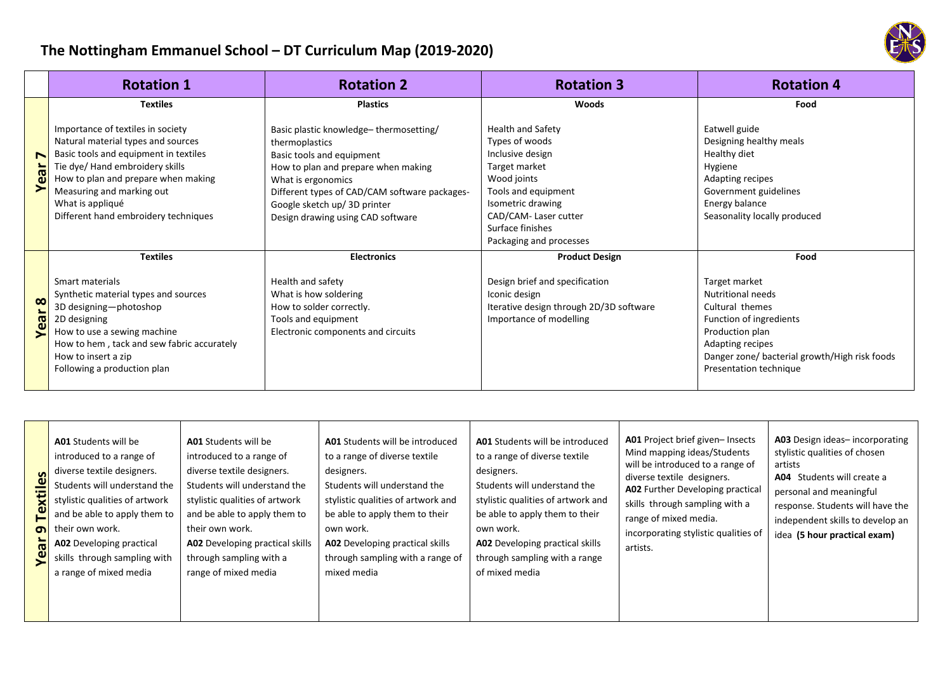## **The Nottingham Emmanuel School – DT Curriculum Map (2019-2020)**

|               | <b>Rotation 1</b>                                                                                                                                                                                                                                                                   | <b>Rotation 2</b>                                                                                                                                                                                                                                                        | <b>Rotation 3</b>                                                                                                                                                                                                 | <b>Rotation 4</b>                                                                                                                                                                                         |
|---------------|-------------------------------------------------------------------------------------------------------------------------------------------------------------------------------------------------------------------------------------------------------------------------------------|--------------------------------------------------------------------------------------------------------------------------------------------------------------------------------------------------------------------------------------------------------------------------|-------------------------------------------------------------------------------------------------------------------------------------------------------------------------------------------------------------------|-----------------------------------------------------------------------------------------------------------------------------------------------------------------------------------------------------------|
|               | <b>Textiles</b>                                                                                                                                                                                                                                                                     | <b>Plastics</b>                                                                                                                                                                                                                                                          | <b>Woods</b>                                                                                                                                                                                                      | Food                                                                                                                                                                                                      |
| N<br>$\omega$ | Importance of textiles in society<br>Natural material types and sources<br>Basic tools and equipment in textiles<br>Tie dye/ Hand embroidery skills<br>How to plan and prepare when making<br>Measuring and marking out<br>What is appliqué<br>Different hand embroidery techniques | Basic plastic knowledge-thermosetting/<br>thermoplastics<br>Basic tools and equipment<br>How to plan and prepare when making<br>What is ergonomics<br>Different types of CAD/CAM software packages-<br>Google sketch up/ 3D printer<br>Design drawing using CAD software | <b>Health and Safety</b><br>Types of woods<br>Inclusive design<br>Target market<br>Wood joints<br>Tools and equipment<br>Isometric drawing<br>CAD/CAM-Laser cutter<br>Surface finishes<br>Packaging and processes | Eatwell guide<br>Designing healthy meals<br>Healthy diet<br>Hygiene<br>Adapting recipes<br>Government guidelines<br>Energy balance<br>Seasonality locally produced                                        |
|               | <b>Textiles</b>                                                                                                                                                                                                                                                                     | <b>Electronics</b>                                                                                                                                                                                                                                                       | <b>Product Design</b>                                                                                                                                                                                             | Food                                                                                                                                                                                                      |
| ∞<br>ă        | Smart materials<br>Synthetic material types and sources<br>3D designing-photoshop<br>2D designing<br>How to use a sewing machine<br>How to hem, tack and sew fabric accurately<br>How to insert a zip<br>Following a production plan                                                | Health and safety<br>What is how soldering<br>How to solder correctly.<br>Tools and equipment<br>Electronic components and circuits                                                                                                                                      | Design brief and specification<br>Iconic design<br>Iterative design through 2D/3D software<br>Importance of modelling                                                                                             | Target market<br><b>Nutritional needs</b><br>Cultural themes<br>Function of ingredients<br>Production plan<br>Adapting recipes<br>Danger zone/ bacterial growth/High risk foods<br>Presentation technique |

| diverse textile designers.<br>$\boldsymbol{\omega}$<br>⋚<br>Ĕ<br>თ<br>$\bar{a}$<br>⊱ |
|--------------------------------------------------------------------------------------|
|--------------------------------------------------------------------------------------|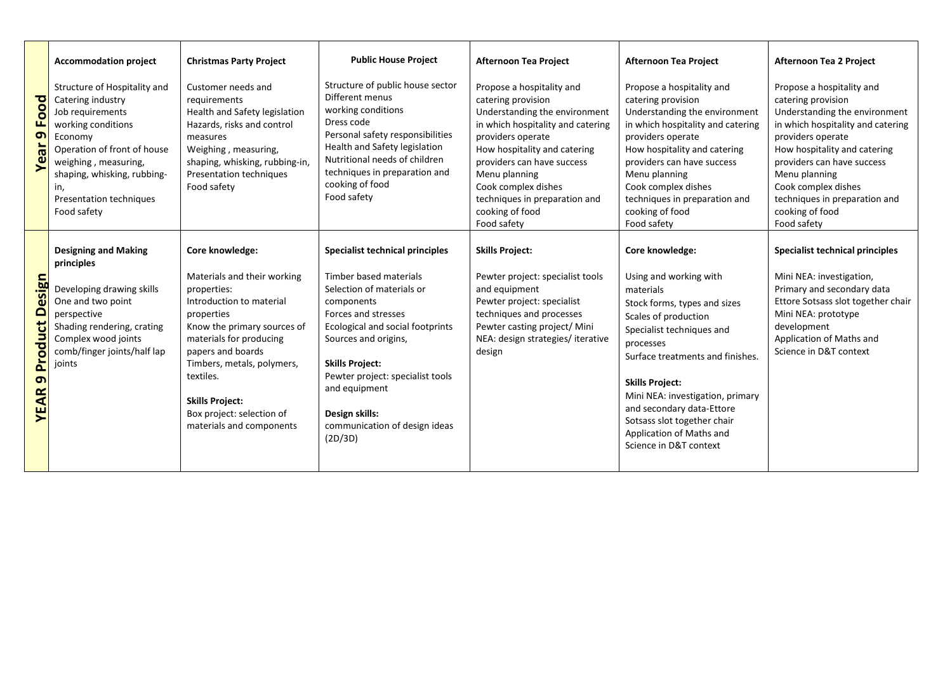|                                                  | <b>Accommodation project</b>                                                                                                                                                                                                                         | <b>Christmas Party Project</b>                                                                                                                                                                                                                                                                                       | <b>Public House Project</b>                                                                                                                                                                                                                                                                                                          | <b>Afternoon Tea Project</b>                                                                                                                                                                                                                                                                                        | <b>Afternoon Tea Project</b>                                                                                                                                                                                                                                                                                                                                                 | Afternoon Tea 2 Project                                                                                                                                                                                                                                                                                             |
|--------------------------------------------------|------------------------------------------------------------------------------------------------------------------------------------------------------------------------------------------------------------------------------------------------------|----------------------------------------------------------------------------------------------------------------------------------------------------------------------------------------------------------------------------------------------------------------------------------------------------------------------|--------------------------------------------------------------------------------------------------------------------------------------------------------------------------------------------------------------------------------------------------------------------------------------------------------------------------------------|---------------------------------------------------------------------------------------------------------------------------------------------------------------------------------------------------------------------------------------------------------------------------------------------------------------------|------------------------------------------------------------------------------------------------------------------------------------------------------------------------------------------------------------------------------------------------------------------------------------------------------------------------------------------------------------------------------|---------------------------------------------------------------------------------------------------------------------------------------------------------------------------------------------------------------------------------------------------------------------------------------------------------------------|
| <b>Year 9 Food</b>                               | Structure of Hospitality and<br>Catering industry<br>Job requirements<br>working conditions<br>Economy<br>Operation of front of house<br>weighing, measuring,<br>shaping, whisking, rubbing-<br>in,<br><b>Presentation techniques</b><br>Food safety | Customer needs and<br>requirements<br>Health and Safety legislation<br>Hazards, risks and control<br>measures<br>Weighing, measuring,<br>shaping, whisking, rubbing-in,<br>Presentation techniques<br>Food safety                                                                                                    | Structure of public house sector<br>Different menus<br>working conditions<br>Dress code<br>Personal safety responsibilities<br>Health and Safety legislation<br>Nutritional needs of children<br>techniques in preparation and<br>cooking of food<br>Food safety                                                                     | Propose a hospitality and<br>catering provision<br>Understanding the environment<br>in which hospitality and catering<br>providers operate<br>How hospitality and catering<br>providers can have success<br>Menu planning<br>Cook complex dishes<br>techniques in preparation and<br>cooking of food<br>Food safety | Propose a hospitality and<br>catering provision<br>Understanding the environment<br>in which hospitality and catering<br>providers operate<br>How hospitality and catering<br>providers can have success<br>Menu planning<br>Cook complex dishes<br>techniques in preparation and<br>cooking of food<br>Food safety                                                          | Propose a hospitality and<br>catering provision<br>Understanding the environment<br>in which hospitality and catering<br>providers operate<br>How hospitality and catering<br>providers can have success<br>Menu planning<br>Cook complex dishes<br>techniques in preparation and<br>cooking of food<br>Food safety |
| <b>Product Design</b><br>$\sigma$<br><b>YEAR</b> | <b>Designing and Making</b><br>principles<br>Developing drawing skills<br>One and two point<br>perspective<br>Shading rendering, crating<br>Complex wood joints<br>comb/finger joints/half lap<br>joints                                             | Core knowledge:<br>Materials and their working<br>properties:<br>Introduction to material<br>properties<br>Know the primary sources of<br>materials for producing<br>papers and boards<br>Timbers, metals, polymers,<br>textiles.<br><b>Skills Project:</b><br>Box project: selection of<br>materials and components | Specialist technical principles<br>Timber based materials<br>Selection of materials or<br>components<br>Forces and stresses<br>Ecological and social footprints<br>Sources and origins,<br><b>Skills Project:</b><br>Pewter project: specialist tools<br>and equipment<br>Design skills:<br>communication of design ideas<br>(2D/3D) | <b>Skills Project:</b><br>Pewter project: specialist tools<br>and equipment<br>Pewter project: specialist<br>techniques and processes<br>Pewter casting project/ Mini<br>NEA: design strategies/iterative<br>design                                                                                                 | Core knowledge:<br>Using and working with<br>materials<br>Stock forms, types and sizes<br>Scales of production<br>Specialist techniques and<br>processes<br>Surface treatments and finishes.<br><b>Skills Project:</b><br>Mini NEA: investigation, primary<br>and secondary data-Ettore<br>Sotsass slot together chair<br>Application of Maths and<br>Science in D&T context | Specialist technical principles<br>Mini NEA: investigation,<br>Primary and secondary data<br>Ettore Sotsass slot together chair<br>Mini NEA: prototype<br>development<br>Application of Maths and<br>Science in D&T context                                                                                         |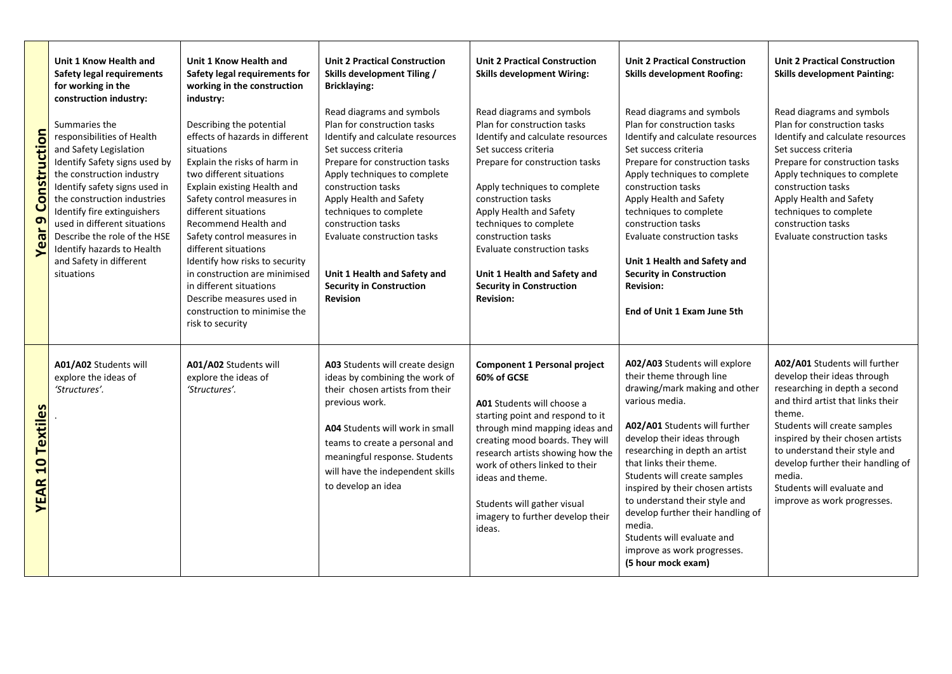| <b>Year 9 Construction</b>                       | Unit 1 Know Health and<br>Safety legal requirements<br>for working in the<br>construction industry:<br>Summaries the<br>responsibilities of Health<br>and Safety Legislation<br>Identify Safety signs used by<br>the construction industry<br>Identify safety signs used in<br>the construction industries<br>Identify fire extinguishers<br>used in different situations<br>Describe the role of the HSE<br>Identify hazards to Health<br>and Safety in different<br>situations | Unit 1 Know Health and<br>Safety legal requirements for<br>working in the construction<br>industry:<br>Describing the potential<br>effects of hazards in different<br>situations<br>Explain the risks of harm in<br>two different situations<br>Explain existing Health and<br>Safety control measures in<br>different situations<br>Recommend Health and<br>Safety control measures in<br>different situations<br>Identify how risks to security<br>in construction are minimised<br>in different situations<br>Describe measures used in<br>construction to minimise the<br>risk to security | <b>Unit 2 Practical Construction</b><br>Skills development Tiling /<br><b>Bricklaying:</b><br>Read diagrams and symbols<br>Plan for construction tasks<br>Identify and calculate resources<br>Set success criteria<br>Prepare for construction tasks<br>Apply techniques to complete<br>construction tasks<br>Apply Health and Safety<br>techniques to complete<br>construction tasks<br>Evaluate construction tasks<br>Unit 1 Health and Safety and<br><b>Security in Construction</b><br>Revision | <b>Unit 2 Practical Construction</b><br><b>Skills development Wiring:</b><br>Read diagrams and symbols<br>Plan for construction tasks<br>Identify and calculate resources<br>Set success criteria<br>Prepare for construction tasks<br>Apply techniques to complete<br>construction tasks<br>Apply Health and Safety<br>techniques to complete<br>construction tasks<br>Evaluate construction tasks<br>Unit 1 Health and Safety and<br><b>Security in Construction</b><br><b>Revision:</b> | <b>Unit 2 Practical Construction</b><br><b>Skills development Roofing:</b><br>Read diagrams and symbols<br>Plan for construction tasks<br>Identify and calculate resources<br>Set success criteria<br>Prepare for construction tasks<br>Apply techniques to complete<br>construction tasks<br>Apply Health and Safety<br>techniques to complete<br>construction tasks<br>Evaluate construction tasks<br>Unit 1 Health and Safety and<br><b>Security in Construction</b><br><b>Revision:</b><br>End of Unit 1 Exam June 5th | <b>Unit 2 Practical Construction</b><br><b>Skills development Painting:</b><br>Read diagrams and symbols<br>Plan for construction tasks<br>Identify and calculate resources<br>Set success criteria<br>Prepare for construction tasks<br>Apply techniques to complete<br>construction tasks<br>Apply Health and Safety<br>techniques to complete<br>construction tasks<br>Evaluate construction tasks |
|--------------------------------------------------|----------------------------------------------------------------------------------------------------------------------------------------------------------------------------------------------------------------------------------------------------------------------------------------------------------------------------------------------------------------------------------------------------------------------------------------------------------------------------------|------------------------------------------------------------------------------------------------------------------------------------------------------------------------------------------------------------------------------------------------------------------------------------------------------------------------------------------------------------------------------------------------------------------------------------------------------------------------------------------------------------------------------------------------------------------------------------------------|-----------------------------------------------------------------------------------------------------------------------------------------------------------------------------------------------------------------------------------------------------------------------------------------------------------------------------------------------------------------------------------------------------------------------------------------------------------------------------------------------------|--------------------------------------------------------------------------------------------------------------------------------------------------------------------------------------------------------------------------------------------------------------------------------------------------------------------------------------------------------------------------------------------------------------------------------------------------------------------------------------------|----------------------------------------------------------------------------------------------------------------------------------------------------------------------------------------------------------------------------------------------------------------------------------------------------------------------------------------------------------------------------------------------------------------------------------------------------------------------------------------------------------------------------|-------------------------------------------------------------------------------------------------------------------------------------------------------------------------------------------------------------------------------------------------------------------------------------------------------------------------------------------------------------------------------------------------------|
| <b>Textiles</b><br>$\overline{a}$<br><b>YEAR</b> | A01/A02 Students will<br>explore the ideas of<br>'Structures'.                                                                                                                                                                                                                                                                                                                                                                                                                   | A01/A02 Students will<br>explore the ideas of<br>'Structures'.                                                                                                                                                                                                                                                                                                                                                                                                                                                                                                                                 | A03 Students will create design<br>ideas by combining the work of<br>their chosen artists from their<br>previous work.<br><b>A04</b> Students will work in small<br>teams to create a personal and<br>meaningful response. Students<br>will have the independent skills<br>to develop an idea                                                                                                                                                                                                       | <b>Component 1 Personal project</b><br>60% of GCSE<br>A01 Students will choose a<br>starting point and respond to it<br>through mind mapping ideas and<br>creating mood boards. They will<br>research artists showing how the<br>work of others linked to their<br>ideas and theme.<br>Students will gather visual<br>imagery to further develop their<br>ideas.                                                                                                                           | A02/A03 Students will explore<br>their theme through line<br>drawing/mark making and other<br>various media.<br>A02/A01 Students will further<br>develop their ideas through<br>researching in depth an artist<br>that links their theme.<br>Students will create samples<br>inspired by their chosen artists<br>to understand their style and<br>develop further their handling of<br>media.<br>Students will evaluate and<br>improve as work progresses.<br>(5 hour mock exam)                                           | A02/A01 Students will further<br>develop their ideas through<br>researching in depth a second<br>and third artist that links their<br>theme.<br>Students will create samples<br>inspired by their chosen artists<br>to understand their style and<br>develop further their handling of<br>media.<br>Students will evaluate and<br>improve as work progresses.                                         |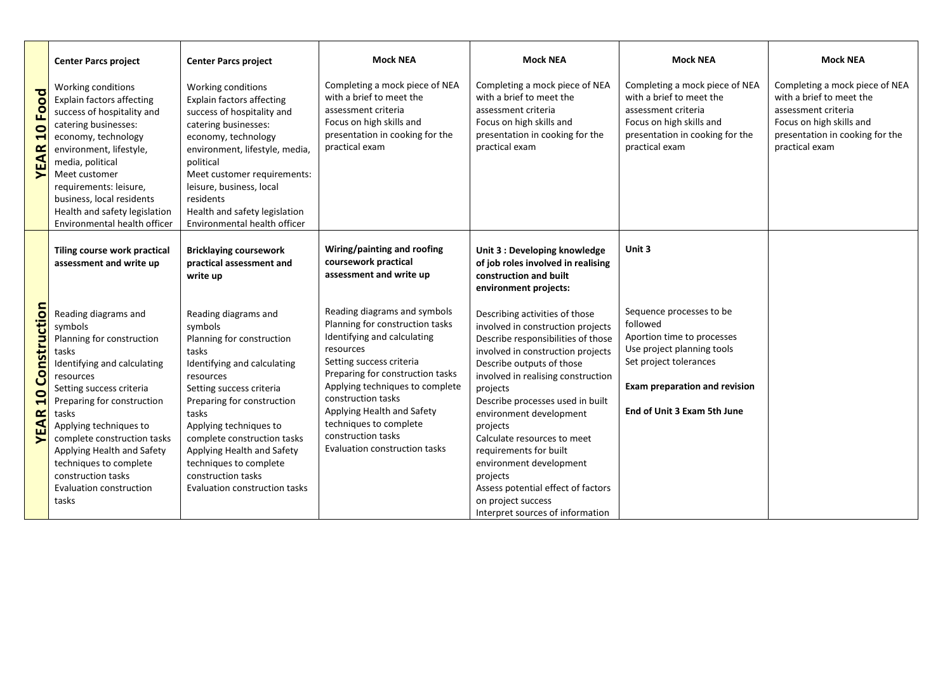|                                                        | <b>Center Parcs project</b>                                                                                                                                                                                                                                                                                                                                     | <b>Center Parcs project</b>                                                                                                                                                                                                                                                                                                                                  | <b>Mock NEA</b>                                                                                                                                                                                                                                                                                                                                     | <b>Mock NEA</b>                                                                                                                                                                                                                                                                                                                                                                                                                                                                                          | <b>Mock NEA</b>                                                                                                                                                                                   | <b>Mock NEA</b>                                                                                                                                                    |
|--------------------------------------------------------|-----------------------------------------------------------------------------------------------------------------------------------------------------------------------------------------------------------------------------------------------------------------------------------------------------------------------------------------------------------------|--------------------------------------------------------------------------------------------------------------------------------------------------------------------------------------------------------------------------------------------------------------------------------------------------------------------------------------------------------------|-----------------------------------------------------------------------------------------------------------------------------------------------------------------------------------------------------------------------------------------------------------------------------------------------------------------------------------------------------|----------------------------------------------------------------------------------------------------------------------------------------------------------------------------------------------------------------------------------------------------------------------------------------------------------------------------------------------------------------------------------------------------------------------------------------------------------------------------------------------------------|---------------------------------------------------------------------------------------------------------------------------------------------------------------------------------------------------|--------------------------------------------------------------------------------------------------------------------------------------------------------------------|
| 10 Food<br><b>YEAR</b>                                 | Working conditions<br><b>Explain factors affecting</b><br>success of hospitality and<br>catering businesses:<br>economy, technology<br>environment, lifestyle,<br>media, political<br>Meet customer<br>requirements: leisure,<br>business, local residents<br>Health and safety legislation<br>Environmental health officer                                     | Working conditions<br><b>Explain factors affecting</b><br>success of hospitality and<br>catering businesses:<br>economy, technology<br>environment, lifestyle, media,<br>political<br>Meet customer requirements:<br>leisure, business, local<br>residents<br>Health and safety legislation<br>Environmental health officer                                  | Completing a mock piece of NEA<br>with a brief to meet the<br>assessment criteria<br>Focus on high skills and<br>presentation in cooking for the<br>practical exam                                                                                                                                                                                  | Completing a mock piece of NEA<br>with a brief to meet the<br>assessment criteria<br>Focus on high skills and<br>presentation in cooking for the<br>practical exam                                                                                                                                                                                                                                                                                                                                       | Completing a mock piece of NEA<br>with a brief to meet the<br>assessment criteria<br>Focus on high skills and<br>presentation in cooking for the<br>practical exam                                | Completing a mock piece of NEA<br>with a brief to meet the<br>assessment criteria<br>Focus on high skills and<br>presentation in cooking for the<br>practical exam |
|                                                        | Tiling course work practical<br>assessment and write up                                                                                                                                                                                                                                                                                                         | <b>Bricklaying coursework</b><br>practical assessment and<br>write up                                                                                                                                                                                                                                                                                        | Wiring/painting and roofing<br>coursework practical<br>assessment and write up                                                                                                                                                                                                                                                                      | Unit 3 : Developing knowledge<br>of job roles involved in realising<br>construction and built<br>environment projects:                                                                                                                                                                                                                                                                                                                                                                                   | Unit 3                                                                                                                                                                                            |                                                                                                                                                                    |
| Construction<br>$\overline{\mathbf{C}}$<br><b>YEAR</b> | Reading diagrams and<br>symbols<br>Planning for construction<br>tasks<br>Identifying and calculating<br>resources<br>Setting success criteria<br>Preparing for construction<br>tasks<br>Applying techniques to<br>complete construction tasks<br>Applying Health and Safety<br>techniques to complete<br>construction tasks<br>Evaluation construction<br>tasks | Reading diagrams and<br>symbols<br>Planning for construction<br>tasks<br>Identifying and calculating<br>resources<br>Setting success criteria<br>Preparing for construction<br>tasks<br>Applying techniques to<br>complete construction tasks<br>Applying Health and Safety<br>techniques to complete<br>construction tasks<br>Evaluation construction tasks | Reading diagrams and symbols<br>Planning for construction tasks<br>Identifying and calculating<br>resources<br>Setting success criteria<br>Preparing for construction tasks<br>Applying techniques to complete<br>construction tasks<br>Applying Health and Safety<br>techniques to complete<br>construction tasks<br>Evaluation construction tasks | Describing activities of those<br>involved in construction projects<br>Describe responsibilities of those<br>involved in construction projects<br>Describe outputs of those<br>involved in realising construction<br>projects<br>Describe processes used in built<br>environment development<br>projects<br>Calculate resources to meet<br>requirements for built<br>environment development<br>projects<br>Assess potential effect of factors<br>on project success<br>Interpret sources of information | Sequence processes to be<br>followed<br>Aportion time to processes<br>Use project planning tools<br>Set project tolerances<br><b>Exam preparation and revision</b><br>End of Unit 3 Exam 5th June |                                                                                                                                                                    |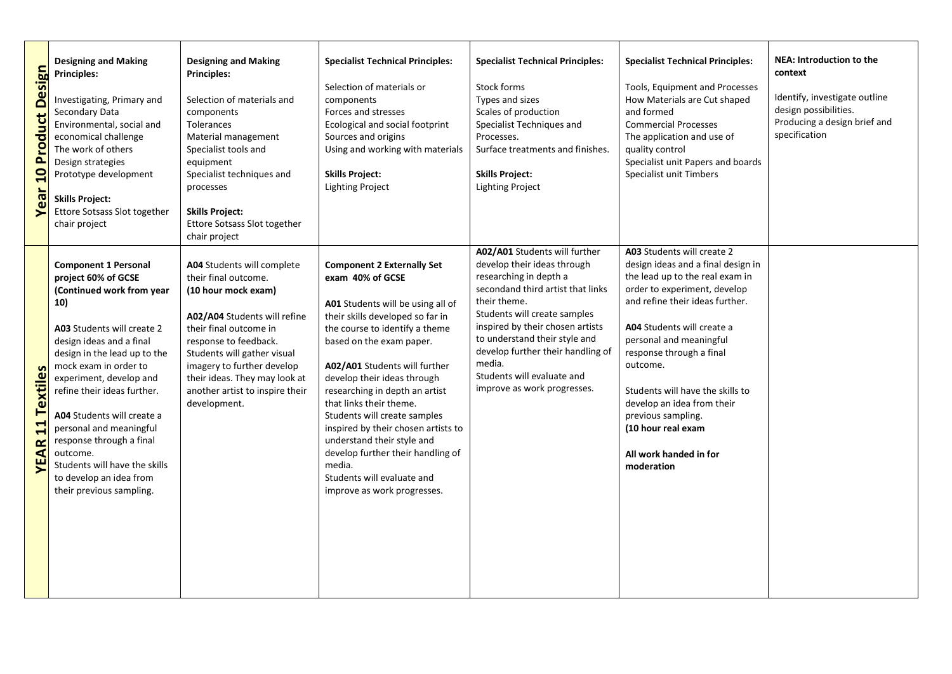| <b>10 Product Design</b><br>Year  | <b>Designing and Making</b><br><b>Principles:</b><br>Investigating, Primary and<br>Secondary Data<br>Environmental, social and<br>economical challenge<br>The work of others<br>Design strategies<br>Prototype development<br><b>Skills Project:</b><br>Ettore Sotsass Slot together<br>chair project                                                                                                                                                        | <b>Designing and Making</b><br><b>Principles:</b><br>Selection of materials and<br>components<br>Tolerances<br>Material management<br>Specialist tools and<br>equipment<br>Specialist techniques and<br>processes<br><b>Skills Project:</b><br><b>Ettore Sotsass Slot together</b><br>chair project           | <b>Specialist Technical Principles:</b><br>Selection of materials or<br>components<br>Forces and stresses<br>Ecological and social footprint<br>Sources and origins<br>Using and working with materials<br><b>Skills Project:</b><br><b>Lighting Project</b>                                                                                                                                                                                                                                                                               | <b>Specialist Technical Principles:</b><br>Stock forms<br>Types and sizes<br>Scales of production<br>Specialist Techniques and<br>Processes.<br>Surface treatments and finishes.<br><b>Skills Project:</b><br><b>Lighting Project</b>                                                                                                                        | <b>Specialist Technical Principles:</b><br><b>Tools, Equipment and Processes</b><br>How Materials are Cut shaped<br>and formed<br><b>Commercial Processes</b><br>The application and use of<br>quality control<br>Specialist unit Papers and boards<br>Specialist unit Timbers                                                                                                                                                | <b>NEA: Introduction to the</b><br>context<br>Identify, investigate outline<br>design possibilities.<br>Producing a design brief and<br>specification |
|-----------------------------------|--------------------------------------------------------------------------------------------------------------------------------------------------------------------------------------------------------------------------------------------------------------------------------------------------------------------------------------------------------------------------------------------------------------------------------------------------------------|---------------------------------------------------------------------------------------------------------------------------------------------------------------------------------------------------------------------------------------------------------------------------------------------------------------|--------------------------------------------------------------------------------------------------------------------------------------------------------------------------------------------------------------------------------------------------------------------------------------------------------------------------------------------------------------------------------------------------------------------------------------------------------------------------------------------------------------------------------------------|--------------------------------------------------------------------------------------------------------------------------------------------------------------------------------------------------------------------------------------------------------------------------------------------------------------------------------------------------------------|-------------------------------------------------------------------------------------------------------------------------------------------------------------------------------------------------------------------------------------------------------------------------------------------------------------------------------------------------------------------------------------------------------------------------------|-------------------------------------------------------------------------------------------------------------------------------------------------------|
| <b>11 Textiles</b><br><b>YEAR</b> | <b>Component 1 Personal</b><br>project 60% of GCSE<br>(Continued work from year<br>10)<br>A03 Students will create 2<br>design ideas and a final<br>design in the lead up to the<br>mock exam in order to<br>experiment, develop and<br>refine their ideas further.<br>A04 Students will create a<br>personal and meaningful<br>response through a final<br>outcome.<br>Students will have the skills<br>to develop an idea from<br>their previous sampling. | A04 Students will complete<br>their final outcome.<br>(10 hour mock exam)<br>A02/A04 Students will refine<br>their final outcome in<br>response to feedback.<br>Students will gather visual<br>imagery to further develop<br>their ideas. They may look at<br>another artist to inspire their<br>development. | <b>Component 2 Externally Set</b><br>exam 40% of GCSE<br>A01 Students will be using all of<br>their skills developed so far in<br>the course to identify a theme<br>based on the exam paper.<br>A02/A01 Students will further<br>develop their ideas through<br>researching in depth an artist<br>that links their theme.<br>Students will create samples<br>inspired by their chosen artists to<br>understand their style and<br>develop further their handling of<br>media.<br>Students will evaluate and<br>improve as work progresses. | A02/A01 Students will further<br>develop their ideas through<br>researching in depth a<br>secondand third artist that links<br>their theme.<br>Students will create samples<br>inspired by their chosen artists<br>to understand their style and<br>develop further their handling of<br>media.<br>Students will evaluate and<br>improve as work progresses. | A03 Students will create 2<br>design ideas and a final design in<br>the lead up to the real exam in<br>order to experiment, develop<br>and refine their ideas further.<br>A04 Students will create a<br>personal and meaningful<br>response through a final<br>outcome.<br>Students will have the skills to<br>develop an idea from their<br>previous sampling.<br>(10 hour real exam<br>All work handed in for<br>moderation |                                                                                                                                                       |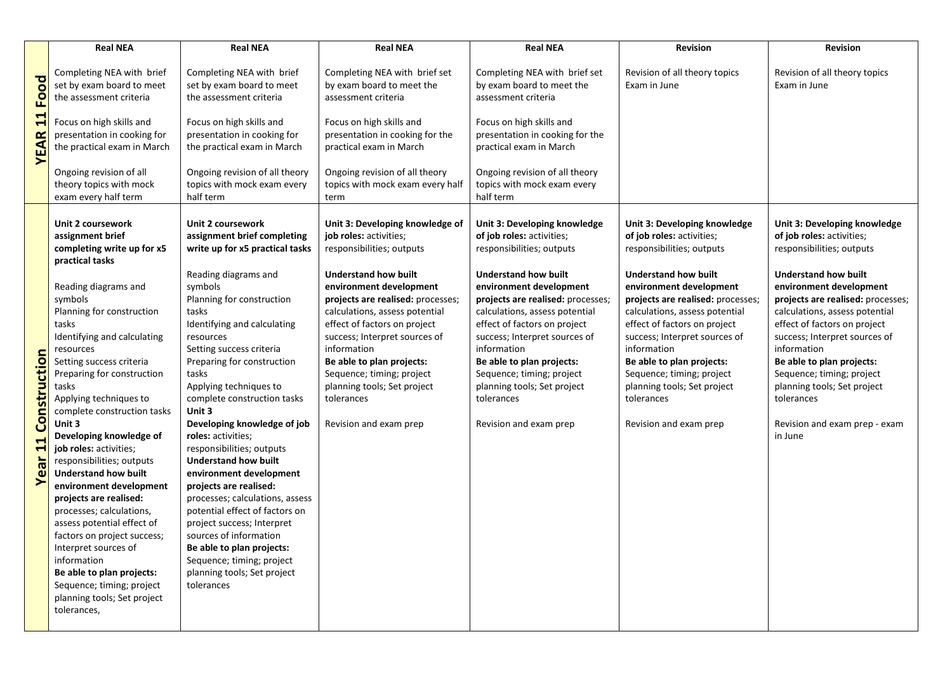|                                   | <b>Real NEA</b>                                                                                                                                                                                                                                                                                                                                                                                                                                                                                                                                                                                                                                                                          | <b>Real NEA</b>                                                                                                                                                                                                                                                                                                                                                                                                                                                                                                                                                                                                                                                   | <b>Real NEA</b>                                                                                                                                                                                                                                                                                                                                | <b>Real NEA</b>                                                                                                                                                                                                                                                                                                                                | <b>Revision</b>                                                                                                                                                                                                                                                                                                                                | <b>Revision</b>                                                                                                                                                                                                                                                                                                                                                  |
|-----------------------------------|------------------------------------------------------------------------------------------------------------------------------------------------------------------------------------------------------------------------------------------------------------------------------------------------------------------------------------------------------------------------------------------------------------------------------------------------------------------------------------------------------------------------------------------------------------------------------------------------------------------------------------------------------------------------------------------|-------------------------------------------------------------------------------------------------------------------------------------------------------------------------------------------------------------------------------------------------------------------------------------------------------------------------------------------------------------------------------------------------------------------------------------------------------------------------------------------------------------------------------------------------------------------------------------------------------------------------------------------------------------------|------------------------------------------------------------------------------------------------------------------------------------------------------------------------------------------------------------------------------------------------------------------------------------------------------------------------------------------------|------------------------------------------------------------------------------------------------------------------------------------------------------------------------------------------------------------------------------------------------------------------------------------------------------------------------------------------------|------------------------------------------------------------------------------------------------------------------------------------------------------------------------------------------------------------------------------------------------------------------------------------------------------------------------------------------------|------------------------------------------------------------------------------------------------------------------------------------------------------------------------------------------------------------------------------------------------------------------------------------------------------------------------------------------------------------------|
|                                   | Completing NEA with brief<br>set by exam board to meet<br>the assessment criteria                                                                                                                                                                                                                                                                                                                                                                                                                                                                                                                                                                                                        | Completing NEA with brief<br>set by exam board to meet<br>the assessment criteria                                                                                                                                                                                                                                                                                                                                                                                                                                                                                                                                                                                 | Completing NEA with brief set<br>by exam board to meet the<br>assessment criteria                                                                                                                                                                                                                                                              | Completing NEA with brief set<br>by exam board to meet the<br>assessment criteria                                                                                                                                                                                                                                                              | Revision of all theory topics<br>Exam in June                                                                                                                                                                                                                                                                                                  | Revision of all theory topics<br>Exam in June                                                                                                                                                                                                                                                                                                                    |
| <b>YEAR 11 Food</b>               | Focus on high skills and<br>presentation in cooking for<br>the practical exam in March                                                                                                                                                                                                                                                                                                                                                                                                                                                                                                                                                                                                   | Focus on high skills and<br>presentation in cooking for<br>the practical exam in March                                                                                                                                                                                                                                                                                                                                                                                                                                                                                                                                                                            | Focus on high skills and<br>presentation in cooking for the<br>practical exam in March                                                                                                                                                                                                                                                         | Focus on high skills and<br>presentation in cooking for the<br>practical exam in March                                                                                                                                                                                                                                                         |                                                                                                                                                                                                                                                                                                                                                |                                                                                                                                                                                                                                                                                                                                                                  |
|                                   | Ongoing revision of all<br>theory topics with mock<br>exam every half term                                                                                                                                                                                                                                                                                                                                                                                                                                                                                                                                                                                                               | Ongoing revision of all theory<br>topics with mock exam every<br>half term                                                                                                                                                                                                                                                                                                                                                                                                                                                                                                                                                                                        | Ongoing revision of all theory<br>topics with mock exam every half<br>term                                                                                                                                                                                                                                                                     | Ongoing revision of all theory<br>topics with mock exam every<br>half term                                                                                                                                                                                                                                                                     |                                                                                                                                                                                                                                                                                                                                                |                                                                                                                                                                                                                                                                                                                                                                  |
|                                   | Unit 2 coursework<br>assignment brief<br>completing write up for x5                                                                                                                                                                                                                                                                                                                                                                                                                                                                                                                                                                                                                      | <b>Unit 2 coursework</b><br>assignment brief completing<br>write up for x5 practical tasks                                                                                                                                                                                                                                                                                                                                                                                                                                                                                                                                                                        | Unit 3: Developing knowledge of<br>job roles: activities;<br>responsibilities; outputs                                                                                                                                                                                                                                                         | Unit 3: Developing knowledge<br>of job roles: activities;<br>responsibilities; outputs                                                                                                                                                                                                                                                         | Unit 3: Developing knowledge<br>of job roles: activities;<br>responsibilities; outputs                                                                                                                                                                                                                                                         | Unit 3: Developing knowledge<br>of job roles: activities;<br>responsibilities; outputs                                                                                                                                                                                                                                                                           |
| Construction<br>11<br><b>Year</b> | practical tasks<br>Reading diagrams and<br>symbols<br>Planning for construction<br>tasks<br>Identifying and calculating<br>resources<br>Setting success criteria<br>Preparing for construction<br>tasks<br>Applying techniques to<br>complete construction tasks<br>Unit 3<br>Developing knowledge of<br>job roles: activities;<br>responsibilities; outputs<br><b>Understand how built</b><br>environment development<br>projects are realised:<br>processes; calculations,<br>assess potential effect of<br>factors on project success;<br>Interpret sources of<br>information<br>Be able to plan projects:<br>Sequence; timing; project<br>planning tools; Set project<br>tolerances, | Reading diagrams and<br>symbols<br>Planning for construction<br>tasks<br>Identifying and calculating<br>resources<br>Setting success criteria<br>Preparing for construction<br>tasks<br>Applying techniques to<br>complete construction tasks<br>Unit 3<br>Developing knowledge of job<br>roles: activities;<br>responsibilities; outputs<br><b>Understand how built</b><br>environment development<br>projects are realised:<br>processes; calculations, assess<br>potential effect of factors on<br>project success; Interpret<br>sources of information<br>Be able to plan projects:<br>Sequence; timing; project<br>planning tools; Set project<br>tolerances | <b>Understand how built</b><br>environment development<br>projects are realised: processes;<br>calculations, assess potential<br>effect of factors on project<br>success; Interpret sources of<br>information<br>Be able to plan projects:<br>Sequence; timing; project<br>planning tools; Set project<br>tolerances<br>Revision and exam prep | <b>Understand how built</b><br>environment development<br>projects are realised: processes;<br>calculations, assess potential<br>effect of factors on project<br>success; Interpret sources of<br>information<br>Be able to plan projects:<br>Sequence; timing; project<br>planning tools; Set project<br>tolerances<br>Revision and exam prep | <b>Understand how built</b><br>environment development<br>projects are realised: processes;<br>calculations, assess potential<br>effect of factors on project<br>success; Interpret sources of<br>information<br>Be able to plan projects:<br>Sequence; timing; project<br>planning tools; Set project<br>tolerances<br>Revision and exam prep | <b>Understand how built</b><br>environment development<br>projects are realised: processes;<br>calculations, assess potential<br>effect of factors on project<br>success; Interpret sources of<br>information<br>Be able to plan projects:<br>Sequence; timing; project<br>planning tools; Set project<br>tolerances<br>Revision and exam prep - exam<br>in June |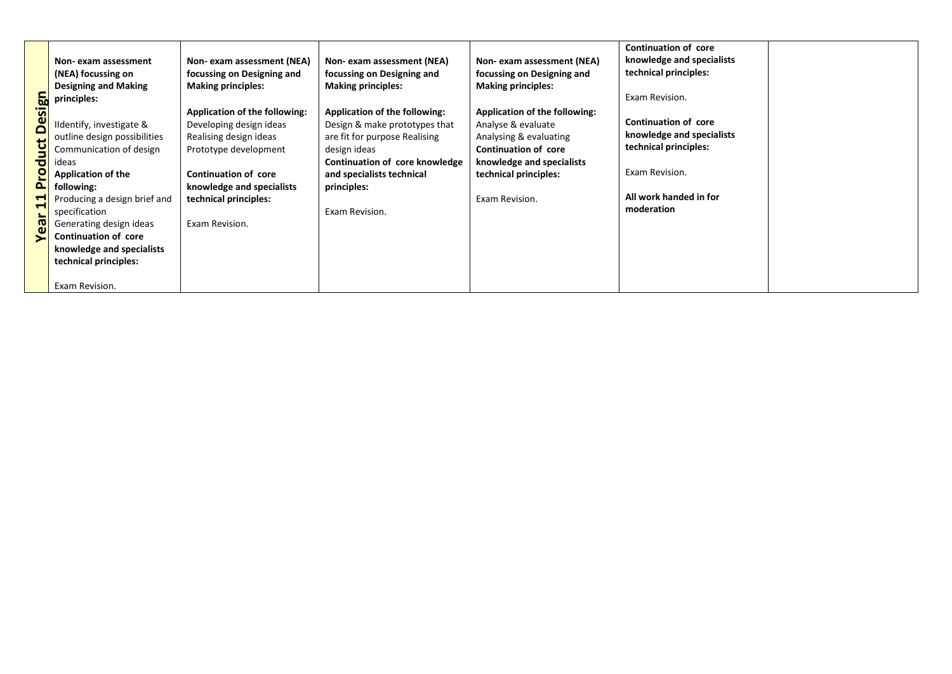| <b>Design</b><br>Product<br>$\mathbf{1}$<br>Year | Non-exam assessment<br>(NEA) focussing on<br><b>Designing and Making</b><br>principles:<br>Ildentify, investigate &<br>outline design possibilities<br>Communication of design<br>ideas<br><b>Application of the</b><br>following:<br>Producing a design brief and<br>specification<br>Generating design ideas<br>Continuation of core<br>knowledge and specialists<br>technical principles:<br>Exam Revision. | Non- exam assessment (NEA)<br>focussing on Designing and<br><b>Making principles:</b><br>Application of the following:<br>Developing design ideas<br>Realising design ideas<br>Prototype development<br><b>Continuation of core</b><br>knowledge and specialists<br>technical principles:<br>Exam Revision. | Non- exam assessment (NEA)<br>focussing on Designing and<br><b>Making principles:</b><br>Application of the following:<br>Design & make prototypes that<br>are fit for purpose Realising<br>design ideas<br>Continuation of core knowledge<br>and specialists technical<br>principles:<br>Exam Revision. | Non- exam assessment (NEA)<br>focussing on Designing and<br><b>Making principles:</b><br>Application of the following:<br>Analyse & evaluate<br>Analysing & evaluating<br><b>Continuation of core</b><br>knowledge and specialists<br>technical principles:<br>Exam Revision. | <b>Continuation of core</b><br>knowledge and specialists<br>technical principles:<br>Exam Revision.<br><b>Continuation of core</b><br>knowledge and specialists<br>technical principles:<br>Exam Revision.<br>All work handed in for<br>moderation |  |
|--------------------------------------------------|----------------------------------------------------------------------------------------------------------------------------------------------------------------------------------------------------------------------------------------------------------------------------------------------------------------------------------------------------------------------------------------------------------------|-------------------------------------------------------------------------------------------------------------------------------------------------------------------------------------------------------------------------------------------------------------------------------------------------------------|----------------------------------------------------------------------------------------------------------------------------------------------------------------------------------------------------------------------------------------------------------------------------------------------------------|-------------------------------------------------------------------------------------------------------------------------------------------------------------------------------------------------------------------------------------------------------------------------------|----------------------------------------------------------------------------------------------------------------------------------------------------------------------------------------------------------------------------------------------------|--|
|--------------------------------------------------|----------------------------------------------------------------------------------------------------------------------------------------------------------------------------------------------------------------------------------------------------------------------------------------------------------------------------------------------------------------------------------------------------------------|-------------------------------------------------------------------------------------------------------------------------------------------------------------------------------------------------------------------------------------------------------------------------------------------------------------|----------------------------------------------------------------------------------------------------------------------------------------------------------------------------------------------------------------------------------------------------------------------------------------------------------|-------------------------------------------------------------------------------------------------------------------------------------------------------------------------------------------------------------------------------------------------------------------------------|----------------------------------------------------------------------------------------------------------------------------------------------------------------------------------------------------------------------------------------------------|--|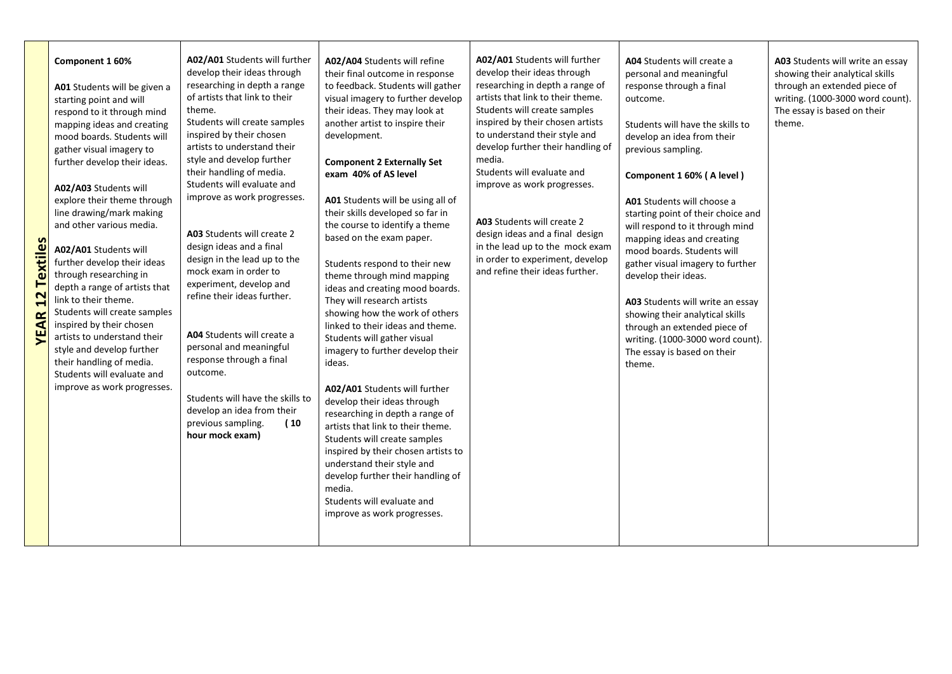| <b>Textile</b><br>$\mathbf{z}$<br>œ<br>⋖<br>۴ | Component 1 60%<br>A01 Students will be given a<br>starting point and will<br>respond to it through mind<br>mapping ideas and creating<br>mood boards. Students will<br>gather visual imagery to<br>further develop their ideas.<br>A02/A03 Students will<br>explore their theme through<br>line drawing/mark making<br>and other various media.<br>A02/A01 Students will<br>further develop their ideas<br>through researching in<br>depth a range of artists that<br>link to their theme.<br>Students will create samples<br>inspired by their chosen<br>artists to understand their<br>style and develop further<br>their handling of media.<br>Students will evaluate and<br>improve as work progresses. | A02/A01 Students will further<br>develop their ideas through<br>researching in depth a range<br>of artists that link to their<br>theme.<br>Students will create samples<br>inspired by their chosen<br>artists to understand their<br>style and develop further<br>their handling of media.<br>Students will evaluate and<br>improve as work progresses.<br>A03 Students will create 2<br>design ideas and a final<br>design in the lead up to the<br>mock exam in order to<br>experiment, develop and<br>refine their ideas further.<br>A04 Students will create a<br>personal and meaningful<br>response through a final<br>outcome.<br>Students will have the skills to<br>develop an idea from their<br>previous sampling.<br>(10<br>hour mock exam) | A02/A04 Students will refine<br>their final outcome in response<br>to feedback. Students will gather<br>visual imagery to further develop<br>their ideas. They may look at<br>another artist to inspire their<br>development.<br><b>Component 2 Externally Set</b><br>exam 40% of AS level<br>A01 Students will be using all of<br>their skills developed so far in<br>the course to identify a theme<br>based on the exam paper.<br>Students respond to their new<br>theme through mind mapping<br>ideas and creating mood boards.<br>They will research artists<br>showing how the work of others<br>linked to their ideas and theme.<br>Students will gather visual<br>imagery to further develop their<br>ideas.<br>A02/A01 Students will further<br>develop their ideas through<br>researching in depth a range of<br>artists that link to their theme.<br>Students will create samples<br>inspired by their chosen artists to<br>understand their style and<br>develop further their handling of<br>media.<br>Students will evaluate and<br>improve as work progresses. | A02/A01 Students will further<br>develop their ideas through<br>researching in depth a range of<br>artists that link to their theme.<br>Students will create samples<br>inspired by their chosen artists<br>to understand their style and<br>develop further their handling of<br>media.<br>Students will evaluate and<br>improve as work progresses.<br>A03 Students will create 2<br>design ideas and a final design<br>in the lead up to the mock exam<br>in order to experiment, develop<br>and refine their ideas further. | A04 Students will create a<br>personal and meaningful<br>response through a final<br>outcome.<br>Students will have the skills to<br>develop an idea from their<br>previous sampling.<br>Component 1 60% (A level)<br>A01 Students will choose a<br>starting point of their choice and<br>will respond to it through mind<br>mapping ideas and creating<br>mood boards. Students will<br>gather visual imagery to further<br>develop their ideas.<br>A03 Students will write an essay<br>showing their analytical skills<br>through an extended piece of<br>writing. (1000-3000 word count).<br>The essay is based on their<br>theme. | A03 Students will write an essay<br>showing their analytical skills<br>through an extended piece of<br>writing. (1000-3000 word count).<br>The essay is based on their<br>theme. |
|-----------------------------------------------|--------------------------------------------------------------------------------------------------------------------------------------------------------------------------------------------------------------------------------------------------------------------------------------------------------------------------------------------------------------------------------------------------------------------------------------------------------------------------------------------------------------------------------------------------------------------------------------------------------------------------------------------------------------------------------------------------------------|----------------------------------------------------------------------------------------------------------------------------------------------------------------------------------------------------------------------------------------------------------------------------------------------------------------------------------------------------------------------------------------------------------------------------------------------------------------------------------------------------------------------------------------------------------------------------------------------------------------------------------------------------------------------------------------------------------------------------------------------------------|-------------------------------------------------------------------------------------------------------------------------------------------------------------------------------------------------------------------------------------------------------------------------------------------------------------------------------------------------------------------------------------------------------------------------------------------------------------------------------------------------------------------------------------------------------------------------------------------------------------------------------------------------------------------------------------------------------------------------------------------------------------------------------------------------------------------------------------------------------------------------------------------------------------------------------------------------------------------------------------------------------------------------------------------------------------------------------|---------------------------------------------------------------------------------------------------------------------------------------------------------------------------------------------------------------------------------------------------------------------------------------------------------------------------------------------------------------------------------------------------------------------------------------------------------------------------------------------------------------------------------|---------------------------------------------------------------------------------------------------------------------------------------------------------------------------------------------------------------------------------------------------------------------------------------------------------------------------------------------------------------------------------------------------------------------------------------------------------------------------------------------------------------------------------------------------------------------------------------------------------------------------------------|----------------------------------------------------------------------------------------------------------------------------------------------------------------------------------|